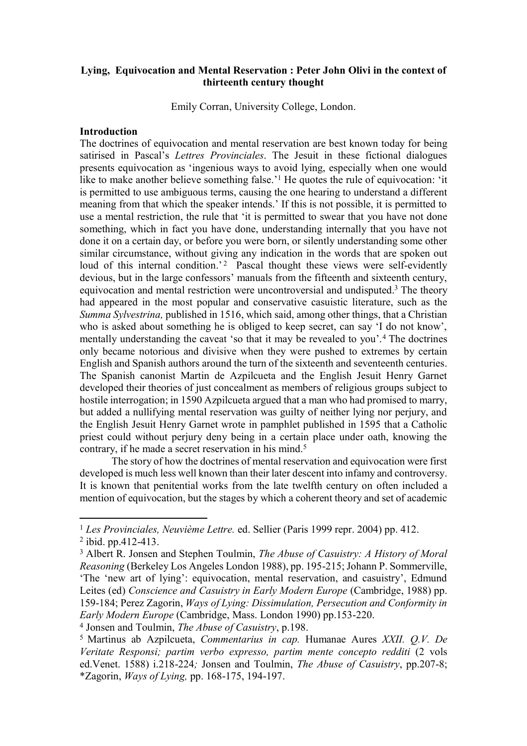# **Lying, Equivocation and Mental Reservation : Peter John Olivi in the context of thirteenth century thought**

Emily Corran, University College, London.

# **Introduction**

The doctrines of equivocation and mental reservation are best known today for being satirised in Pascal's *Lettres Provinciales*. The Jesuit in these fictional dialogues presents equivocation as 'ingenious ways to avoid lying, especially when one would like to make another believe something false.'<sup>1</sup> He quotes the rule of equivocation: 'it is permitted to use ambiguous terms, causing the one hearing to understand a different meaning from that which the speaker intends.' If this is not possible, it is permitted to use a mental restriction, the rule that 'it is permitted to swear that you have not done something, which in fact you have done, understanding internally that you have not done it on a certain day, or before you were born, or silently understanding some other similar circumstance, without giving any indication in the words that are spoken out loud of this internal condition.<sup>'2</sup> Pascal thought these views were self-evidently devious, but in the large confessors' manuals from the fifteenth and sixteenth century, equivocation and mental restriction were uncontroversial and undisputed.<sup>3</sup> The theory had appeared in the most popular and conservative casuistic literature, such as the *Summa Sylvestrina,* published in 1516, which said, among other things, that a Christian who is asked about something he is obliged to keep secret, can say 'I do not know', mentally understanding the caveat 'so that it may be revealed to you'.<sup>4</sup> The doctrines only became notorious and divisive when they were pushed to extremes by certain English and Spanish authors around the turn of the sixteenth and seventeenth centuries. The Spanish canonist Martin de Azpilcueta and the English Jesuit Henry Garnet developed their theories of just concealment as members of religious groups subject to hostile interrogation; in 1590 Azpilcueta argued that a man who had promised to marry, but added a nullifying mental reservation was guilty of neither lying nor perjury, and the English Jesuit Henry Garnet wrote in pamphlet published in 1595 that a Catholic priest could without perjury deny being in a certain place under oath, knowing the contrary, if he made a secret reservation in his mind.<sup>5</sup>

The story of how the doctrines of mental reservation and equivocation were first developed is much less well known than their later descent into infamy and controversy. It is known that penitential works from the late twelfth century on often included a mention of equivocation, but the stages by which a coherent theory and set of academic

<sup>1</sup> *Les Provinciales, Neuvième Lettre.* ed. Sellier (Paris 1999 repr. 2004) pp. 412.

<sup>2</sup> ibid. pp.412-413.

<sup>3</sup> Albert R. Jonsen and Stephen Toulmin, *The Abuse of Casuistry: A History of Moral Reasoning* (Berkeley Los Angeles London 1988), pp. 195-215; Johann P. Sommerville, 'The 'new art of lying': equivocation, mental reservation, and casuistry', Edmund Leites (ed) *Conscience and Casuistry in Early Modern Europe* (Cambridge, 1988) pp. 159-184; Perez Zagorin, *Ways of Lying: Dissimulation, Persecution and Conformity in Early Modern Europe* (Cambridge, Mass. London 1990) pp.153-220.

<sup>4</sup> Jonsen and Toulmin, *The Abuse of Casuistry*, p.198.

<sup>5</sup> Martinus ab Azpilcueta, *Commentarius in cap.* Humanae Aures *XXII. Q.V. De Veritate Responsi; partim verbo expresso, partim mente concepto redditi* (2 vols ed.Venet. 1588) i.218-224*;* Jonsen and Toulmin, *The Abuse of Casuistry*, pp.207-8; \*Zagorin, *Ways of Lying,* pp. 168-175, 194-197.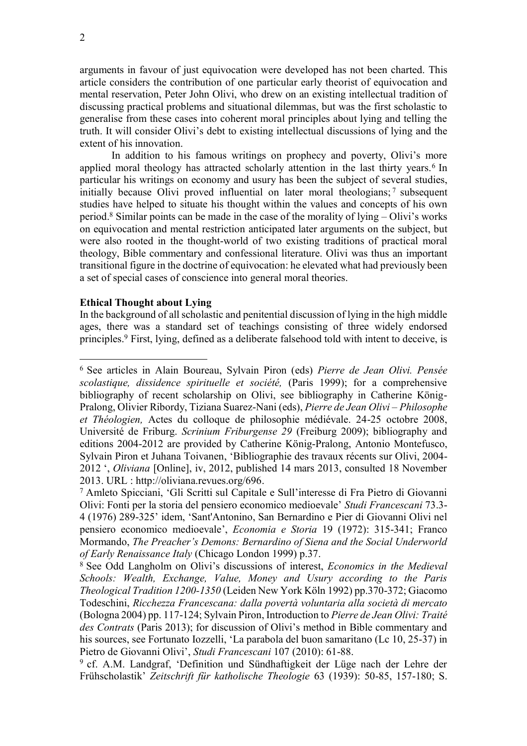arguments in favour of just equivocation were developed has not been charted. This article considers the contribution of one particular early theorist of equivocation and mental reservation, Peter John Olivi, who drew on an existing intellectual tradition of discussing practical problems and situational dilemmas, but was the first scholastic to generalise from these cases into coherent moral principles about lying and telling the truth. It will consider Olivi's debt to existing intellectual discussions of lying and the extent of his innovation.

In addition to his famous writings on prophecy and poverty, Olivi's more applied moral theology has attracted scholarly attention in the last thirty years.<sup>6</sup> In particular his writings on economy and usury has been the subject of several studies, initially because Olivi proved influential on later moral theologians; <sup>7</sup> subsequent studies have helped to situate his thought within the values and concepts of his own period. <sup>8</sup> Similar points can be made in the case of the morality of lying – Olivi's works on equivocation and mental restriction anticipated later arguments on the subject, but were also rooted in the thought-world of two existing traditions of practical moral theology, Bible commentary and confessional literature. Olivi was thus an important transitional figure in the doctrine of equivocation: he elevated what had previously been a set of special cases of conscience into general moral theories.

## **Ethical Thought about Lying**

In the background of all scholastic and penitential discussion of lying in the high middle ages, there was a standard set of teachings consisting of three widely endorsed principles. <sup>9</sup> First, lying, defined as a deliberate falsehood told with intent to deceive, is

<sup>6</sup> See articles in Alain Boureau, Sylvain Piron (eds) *Pierre de Jean Olivi. Pensée scolastique, dissidence spirituelle et société,* (Paris 1999); for a comprehensive bibliography of recent scholarship on Olivi, see bibliography in Catherine König-Pralong, Olivier Ribordy, Tiziana Suarez-Nani (eds), *Pierre de Jean Olivi – Philosophe et Théologien,* Actes du colloque de philosophie médiévale. 24-25 octobre 2008, Université de Friburg. *Scrinium Friburgense 29* (Freiburg 2009); bibliography and editions 2004-2012 are provided by Catherine König-Pralong, Antonio Montefusco, Sylvain Piron et Juhana Toivanen, 'Bibliographie des travaux récents sur Olivi, 2004- 2012 ', *Oliviana* [Online], iv, 2012, published 14 mars 2013, consulted 18 November 2013. URL : http://oliviana.revues.org/696.

<sup>7</sup> Amleto Spicciani, 'Gli Scritti sul Capitale e Sull'interesse di Fra Pietro di Giovanni Olivi: Fonti per la storia del pensiero economico medioevale' *Studi Francescani* 73.3- 4 (1976) 289-325' idem, 'Sant'Antonino, San Bernardino e Pier di Giovanni Olivi nel pensiero economico medioevale', *Economia e Storia* 19 (1972): 315-341; Franco Mormando, *The Preacher's Demons: Bernardino of Siena and the Social Underworld of Early Renaissance Italy* (Chicago London 1999) p.37.

<sup>8</sup> See Odd Langholm on Olivi's discussions of interest, *Economics in the Medieval Schools: Wealth, Exchange, Value, Money and Usury according to the Paris Theological Tradition 1200-1350* (Leiden New York Köln 1992) pp.370-372; Giacomo Todeschini, *Ricchezza Francescana: dalla povertà voluntaria alla società di mercato*  (Bologna 2004) pp. 117-124; Sylvain Piron, Introduction to *Pierre de Jean Olivi: Traité des Contrats* (Paris 2013); for discussion of Olivi's method in Bible commentary and his sources, see Fortunato Iozzelli, 'La parabola del buon samaritano (Lc 10, 25-37) in Pietro de Giovanni Olivi', *Studi Francescani* 107 (2010): 61-88.

<sup>9</sup> cf. A.M. Landgraf, 'Definition und Sündhaftigkeit der Lüge nach der Lehre der Frühscholastik' *Zeitschrift für katholische Theologie* 63 (1939): 50-85, 157-180; S.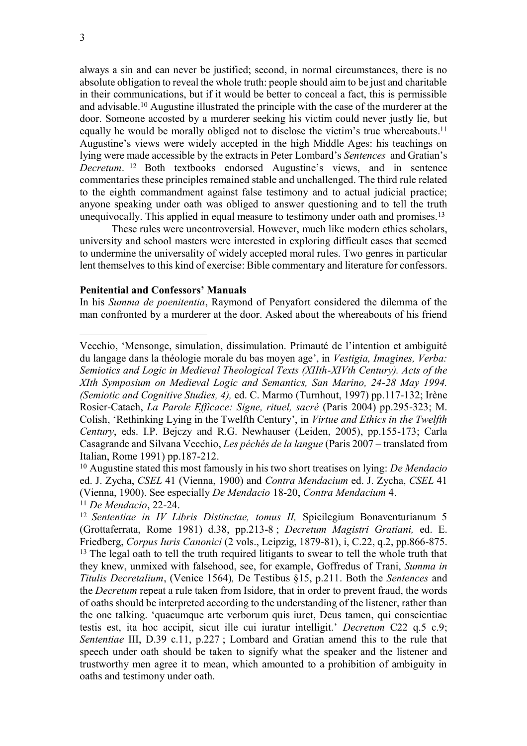always a sin and can never be justified; second, in normal circumstances, there is no absolute obligation to reveal the whole truth: people should aim to be just and charitable in their communications, but if it would be better to conceal a fact, this is permissible and advisable.<sup>10</sup> Augustine illustrated the principle with the case of the murderer at the door. Someone accosted by a murderer seeking his victim could never justly lie, but equally he would be morally obliged not to disclose the victim's true whereabouts.<sup>11</sup> Augustine's views were widely accepted in the high Middle Ages: his teachings on lying were made accessible by the extracts in Peter Lombard's *Sentences* and Gratian's *Decretum*. <sup>12</sup> Both textbooks endorsed Augustine's views, and in sentence commentaries these principles remained stable and unchallenged. The third rule related to the eighth commandment against false testimony and to actual judicial practice; anyone speaking under oath was obliged to answer questioning and to tell the truth unequivocally. This applied in equal measure to testimony under oath and promises.<sup>13</sup>

These rules were uncontroversial. However, much like modern ethics scholars, university and school masters were interested in exploring difficult cases that seemed to undermine the universality of widely accepted moral rules. Two genres in particular lent themselves to this kind of exercise: Bible commentary and literature for confessors.

#### **Penitential and Confessors' Manuals**

In his *Summa de poenitentia*, Raymond of Penyafort considered the dilemma of the man confronted by a murderer at the door. Asked about the whereabouts of his friend

<sup>10</sup> Augustine stated this most famously in his two short treatises on lying: *De Mendacio* ed. J. Zycha, *CSEL* 41 (Vienna, 1900) and *Contra Mendacium* ed. J. Zycha, *CSEL* 41 (Vienna, 1900). See especially *De Mendacio* 18-20, *Contra Mendacium* 4.

<sup>11</sup> *De Mendacio*, 22-24.

Vecchio, 'Mensonge, simulation, dissimulation. Primauté de l'intention et ambiguité du langage dans la théologie morale du bas moyen age', in *Vestigia, Imagines, Verba: Semiotics and Logic in Medieval Theological Texts (XIIth-XIVth Century). Acts of the XIth Symposium on Medieval Logic and Semantics, San Marino, 24-28 May 1994. (Semiotic and Cognitive Studies, 4),* ed. C. Marmo (Turnhout, 1997) pp.117-132; Irène Rosier-Catach, *La Parole Efficace: Signe, rituel, sacré* (Paris 2004) pp.295-323; M. Colish, 'Rethinking Lying in the Twelfth Century', in *Virtue and Ethics in the Twelfth Century*, eds. I.P. Bejczy and R.G. Newhauser (Leiden, 2005), pp.155-173; Carla Casagrande and Silvana Vecchio, *Les péchés de la langue* (Paris 2007 – translated from Italian, Rome 1991) pp.187-212.

<sup>&</sup>lt;sup>12</sup> Sententiae in IV Libris Distinctae, tomus II, Spicilegium Bonaventurianum 5 (Grottaferrata, Rome 1981) d.38, pp.213-8 ; *Decretum Magistri Gratiani,* ed. E. Friedberg, *Corpus Iuris Canonici* (2 vols., Leipzig, 1879-81), i, C.22, q.2, pp.866-875. <sup>13</sup> The legal oath to tell the truth required litigants to swear to tell the whole truth that they knew, unmixed with falsehood, see, for example, Goffredus of Trani, *Summa in Titulis Decretalium*, (Venice 1564)*,* De Testibus §15, p.211. Both the *Sentences* and the *Decretum* repeat a rule taken from Isidore, that in order to prevent fraud, the words of oaths should be interpreted according to the understanding of the listener, rather than the one talking. 'quacumque arte verborum quis iuret, Deus tamen, qui conscientiae testis est, ita hoc accipit, sicut ille cui iuratur intelligit.' *Decretum* C22 q.5 c.9; *Sententiae* III, D.39 c.11, p.227 ; Lombard and Gratian amend this to the rule that speech under oath should be taken to signify what the speaker and the listener and trustworthy men agree it to mean, which amounted to a prohibition of ambiguity in oaths and testimony under oath.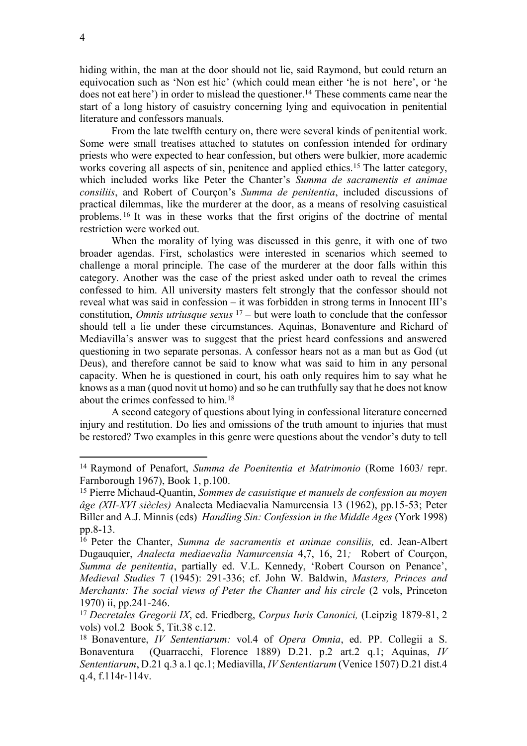hiding within, the man at the door should not lie, said Raymond, but could return an equivocation such as 'Non est hic' (which could mean either 'he is not here', or 'he does not eat here') in order to mislead the questioner.<sup>14</sup> These comments came near the start of a long history of casuistry concerning lying and equivocation in penitential literature and confessors manuals.

From the late twelfth century on, there were several kinds of penitential work. Some were small treatises attached to statutes on confession intended for ordinary priests who were expected to hear confession, but others were bulkier, more academic works covering all aspects of sin, penitence and applied ethics.<sup>15</sup> The latter category, which included works like Peter the Chanter's *Summa de sacramentis et animae consiliis*, and Robert of Courçon's *Summa de penitentia*, included discussions of practical dilemmas, like the murderer at the door, as a means of resolving casuistical problems. <sup>16</sup> It was in these works that the first origins of the doctrine of mental restriction were worked out.

When the morality of lying was discussed in this genre, it with one of two broader agendas. First, scholastics were interested in scenarios which seemed to challenge a moral principle. The case of the murderer at the door falls within this category. Another was the case of the priest asked under oath to reveal the crimes confessed to him. All university masters felt strongly that the confessor should not reveal what was said in confession – it was forbidden in strong terms in Innocent III's constitution, *Omnis utriusque sexus* <sup>17</sup> – but were loath to conclude that the confessor should tell a lie under these circumstances. Aquinas, Bonaventure and Richard of Mediavilla's answer was to suggest that the priest heard confessions and answered questioning in two separate personas. A confessor hears not as a man but as God (ut Deus), and therefore cannot be said to know what was said to him in any personal capacity. When he is questioned in court, his oath only requires him to say what he knows as a man (quod novit ut homo) and so he can truthfully say that he does not know about the crimes confessed to him.<sup>18</sup>

A second category of questions about lying in confessional literature concerned injury and restitution. Do lies and omissions of the truth amount to injuries that must be restored? Two examples in this genre were questions about the vendor's duty to tell

<sup>14</sup> Raymond of Penafort, *Summa de Poenitentia et Matrimonio* (Rome 1603/ repr. Farnborough 1967), Book 1, p.100.

<sup>15</sup> Pierre Michaud-Quantin, *Sommes de casuistique et manuels de confession au moyen âge (XII-XVI siècles)* Analecta Mediaevalia Namurcensia 13 (1962), pp.15-53; Peter Biller and A.J. Minnis (eds) *Handling Sin: Confession in the Middle Ages* (York 1998) pp.8-13.

<sup>16</sup> Peter the Chanter, *Summa de sacramentis et animae consiliis,* ed. Jean-Albert Dugauquier, *Analecta mediaevalia Namurcensia* 4,7, 16, 21*;* Robert of Courçon, *Summa de penitentia*, partially ed. V.L. Kennedy, 'Robert Courson on Penance', *Medieval Studies* 7 (1945): 291-336; cf. John W. Baldwin, *Masters, Princes and Merchants: The social views of Peter the Chanter and his circle* (2 vols, Princeton 1970) ii, pp.241-246.

<sup>17</sup> *Decretales Gregorii IX*, ed. Friedberg, *Corpus Iuris Canonici,* (Leipzig 1879-81, 2 vols) vol.2 Book 5, Tit.38 c.12.

<sup>18</sup> Bonaventure, *IV Sententiarum:* vol.4 of *Opera Omnia*, ed. PP. Collegii a S. Bonaventura (Quarracchi, Florence 1889) D.21. p.2 art.2 q.1; Aquinas, *IV Sententiarum*, D.21 q.3 a.1 qc.1; Mediavilla, *IV Sententiarum* (Venice 1507) D.21 dist.4 q.4, f.114r-114v.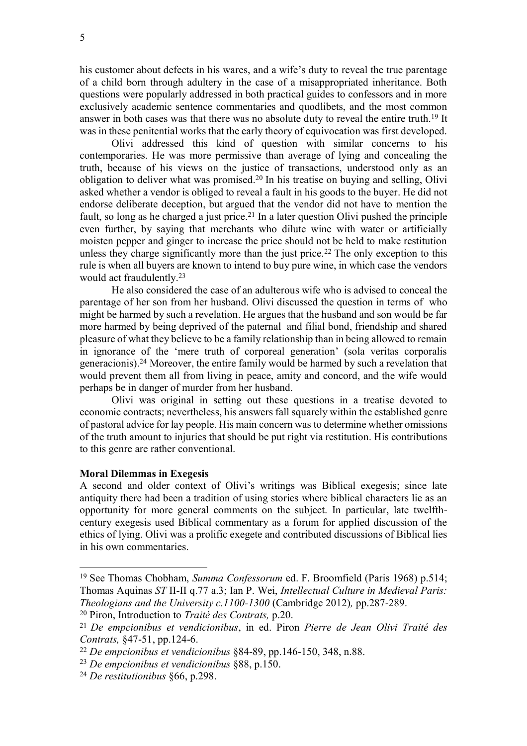his customer about defects in his wares, and a wife's duty to reveal the true parentage of a child born through adultery in the case of a misappropriated inheritance. Both questions were popularly addressed in both practical guides to confessors and in more exclusively academic sentence commentaries and quodlibets, and the most common answer in both cases was that there was no absolute duty to reveal the entire truth.<sup>19</sup> It was in these penitential works that the early theory of equivocation was first developed.

Olivi addressed this kind of question with similar concerns to his contemporaries. He was more permissive than average of lying and concealing the truth, because of his views on the justice of transactions, understood only as an obligation to deliver what was promised. <sup>20</sup> In his treatise on buying and selling, Olivi asked whether a vendor is obliged to reveal a fault in his goods to the buyer. He did not endorse deliberate deception, but argued that the vendor did not have to mention the fault, so long as he charged a just price.<sup>21</sup> In a later question Olivi pushed the principle even further, by saying that merchants who dilute wine with water or artificially moisten pepper and ginger to increase the price should not be held to make restitution unless they charge significantly more than the just price.<sup>22</sup> The only exception to this rule is when all buyers are known to intend to buy pure wine, in which case the vendors would act fraudulently. 23

He also considered the case of an adulterous wife who is advised to conceal the parentage of her son from her husband. Olivi discussed the question in terms of who might be harmed by such a revelation. He argues that the husband and son would be far more harmed by being deprived of the paternal and filial bond, friendship and shared pleasure of what they believe to be a family relationship than in being allowed to remain in ignorance of the 'mere truth of corporeal generation' (sola veritas corporalis generacionis).<sup>24</sup> Moreover, the entire family would be harmed by such a revelation that would prevent them all from living in peace, amity and concord, and the wife would perhaps be in danger of murder from her husband.

Olivi was original in setting out these questions in a treatise devoted to economic contracts; nevertheless, his answers fall squarely within the established genre of pastoral advice for lay people. His main concern was to determine whether omissions of the truth amount to injuries that should be put right via restitution. His contributions to this genre are rather conventional.

#### **Moral Dilemmas in Exegesis**

 $\overline{a}$ 

A second and older context of Olivi's writings was Biblical exegesis; since late antiquity there had been a tradition of using stories where biblical characters lie as an opportunity for more general comments on the subject. In particular, late twelfthcentury exegesis used Biblical commentary as a forum for applied discussion of the ethics of lying. Olivi was a prolific exegete and contributed discussions of Biblical lies in his own commentaries.

<sup>19</sup> See Thomas Chobham, *Summa Confessorum* ed. F. Broomfield (Paris 1968) p.514; Thomas Aquinas *ST* II-II q.77 a.3; Ian P. Wei, *Intellectual Culture in Medieval Paris: Theologians and the University c.1100-1300* (Cambridge 2012)*,* pp.287-289.

<sup>20</sup> Piron, Introduction to *Traité des Contrats,* p.20.

<sup>21</sup> *De empcionibus et vendicionibus*, in ed. Piron *Pierre de Jean Olivi Traité des Contrats,* §47-51, pp.124-6.

<sup>22</sup> *De empcionibus et vendicionibus* §84-89, pp.146-150, 348, n.88.

<sup>23</sup> *De empcionibus et vendicionibus* §88, p.150.

<sup>24</sup> *De restitutionibus* §66, p.298.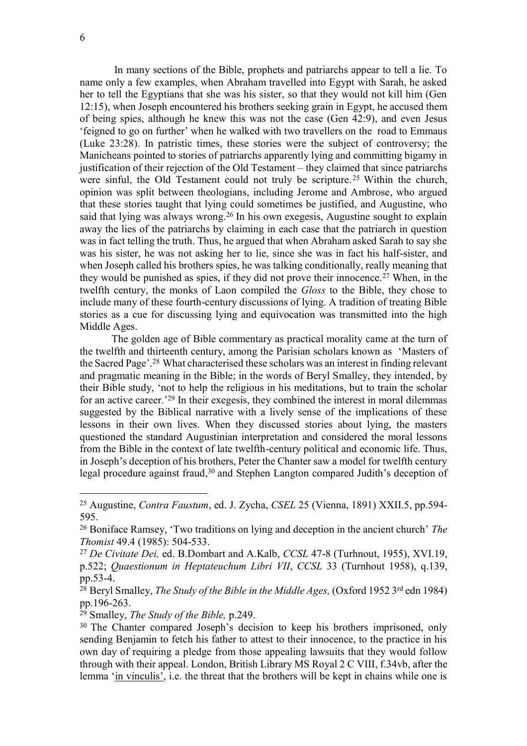In many sections of the Bible, prophets and patriarchs appear to tell a lie. To name only a few examples, when Abraham travelled into Egypt with Sarah, he asked her to tell the Egyptians that she was his sister, so that they would not kill him (Gen 12:15), when Joseph encountered his brothers seeking grain in Egypt, he accused them of being spies, although he knew this was not the case (Gen 42:9), and even Jesus 'feigned to go on further' when he walked with two travellers on the road to Emmaus (Luke 23:28). In patristic times, these stories were the subject of controversy; the Manicheans pointed to stories of patriarchs apparently lying and committing bigamy in justification of their rejection of the Old Testament – they claimed that since patriarchs were sinful, the Old Testament could not truly be scripture.<sup>25</sup> Within the church, opinion was split between theologians, including Jerome and Ambrose, who argued that these stories taught that lying could sometimes be justified, and Augustine, who said that lying was always wrong.<sup>26</sup> In his own exegesis, Augustine sought to explain away the lies of the patriarchs by claiming in each case that the patriarch in question was in fact telling the truth. Thus, he argued that when Abraham asked Sarah to say she was his sister, he was not asking her to lie, since she was in fact his half-sister, and when Joseph called his brothers spies, he was talking conditionally, really meaning that they would be punished as spies, if they did not prove their innocence.<sup> $27$ </sup> When, in the twelfth century, the monks of Laon compiled the *Gloss* to the Bible, they chose to include many of these fourth-century discussions of lying. A tradition of treating Bible stories as a cue for discussing lying and equivocation was transmitted into the high Middle Ages.

The golden age of Bible commentary as practical morality came at the turn of the twelfth and thirteenth century, among the Parisian scholars known as 'Masters of the Sacred Page'. <sup>28</sup> What characterised these scholars was an interest in finding relevant and pragmatic meaning in the Bible; in the words of Beryl Smalley, they intended, by their Bible study, 'not to help the religious in his meditations, but to train the scholar for an active career.'<sup>29</sup> In their exegesis, they combined the interest in moral dilemmas suggested by the Biblical narrative with a lively sense of the implications of these lessons in their own lives. When they discussed stories about lying, the masters questioned the standard Augustinian interpretation and considered the moral lessons from the Bible in the context of late twelfth-century political and economic life. Thus, in Joseph's deception of his brothers, Peter the Chanter saw a model for twelfth century legal procedure against fraud,<sup>30</sup> and Stephen Langton compared Judith's deception of

<sup>25</sup> Augustine, *Contra Faustum*, ed. J. Zycha, *CSEL* 25 (Vienna, 1891) XXII.5, pp.594- 595.

<sup>26</sup> Boniface Ramsey, 'Two traditions on lying and deception in the ancient church' *The Thomist* 49.4 (1985): 504-533.

<sup>27</sup> *De Civitate Dei,* ed. B.Dombart and A.Kalb, *CCSL* 47-8 (Turhnout, 1955), XVI.19, p.522; *Quaestionum in Heptateuchum Libri VII*, *CCSL* 33 (Turnhout 1958), q.139, pp.53-4.

<sup>&</sup>lt;sup>28</sup> Beryl Smalley, *The Study of the Bible in the Middle Ages*, (Oxford 1952 3<sup>rd</sup> edn 1984) pp.196-263.

<sup>29</sup> Smalley, *The Study of the Bible,* p.249.

<sup>&</sup>lt;sup>30</sup> The Chanter compared Joseph's decision to keep his brothers imprisoned, only sending Benjamin to fetch his father to attest to their innocence, to the practice in his own day of requiring a pledge from those appealing lawsuits that they would follow through with their appeal. London, British Library MS Royal 2 C VIII, f.34vb, after the lemma 'in vinculis', i.e. the threat that the brothers will be kept in chains while one is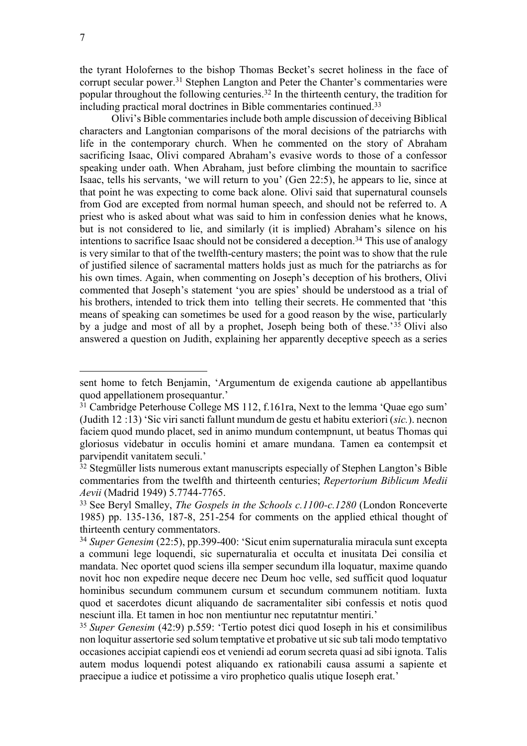$\overline{a}$ 

the tyrant Holofernes to the bishop Thomas Becket's secret holiness in the face of corrupt secular power.<sup>31</sup> Stephen Langton and Peter the Chanter's commentaries were popular throughout the following centuries.<sup>32</sup> In the thirteenth century, the tradition for including practical moral doctrines in Bible commentaries continued. 33

Olivi's Bible commentaries include both ample discussion of deceiving Biblical characters and Langtonian comparisons of the moral decisions of the patriarchs with life in the contemporary church. When he commented on the story of Abraham sacrificing Isaac, Olivi compared Abraham's evasive words to those of a confessor speaking under oath. When Abraham, just before climbing the mountain to sacrifice Isaac, tells his servants, 'we will return to you' (Gen 22:5), he appears to lie, since at that point he was expecting to come back alone. Olivi said that supernatural counsels from God are excepted from normal human speech, and should not be referred to. A priest who is asked about what was said to him in confession denies what he knows, but is not considered to lie, and similarly (it is implied) Abraham's silence on his intentions to sacrifice Isaac should not be considered a deception.<sup>34</sup> This use of analogy is very similar to that of the twelfth-century masters; the point was to show that the rule of justified silence of sacramental matters holds just as much for the patriarchs as for his own times. Again, when commenting on Joseph's deception of his brothers, Olivi commented that Joseph's statement 'you are spies' should be understood as a trial of his brothers, intended to trick them into telling their secrets. He commented that 'this means of speaking can sometimes be used for a good reason by the wise, particularly by a judge and most of all by a prophet, Joseph being both of these.'<sup>35</sup> Olivi also answered a question on Judith, explaining her apparently deceptive speech as a series

sent home to fetch Benjamin, 'Argumentum de exigenda cautione ab appellantibus quod appellationem prosequantur.'

<sup>&</sup>lt;sup>31</sup> Cambridge Peterhouse College MS 112, f.161ra, Next to the lemma 'Quae ego sum' (Judith 12 :13) 'Sic viri sancti fallunt mundum de gestu et habitu exteriori (*sic.*). necnon faciem quod mundo placet, sed in animo mundum contempnunt, ut beatus Thomas qui gloriosus videbatur in occulis homini et amare mundana. Tamen ea contempsit et parvipendit vanitatem seculi.'

<sup>&</sup>lt;sup>32</sup> Stegmüller lists numerous extant manuscripts especially of Stephen Langton's Bible commentaries from the twelfth and thirteenth centuries; *Repertorium Biblicum Medii Aevii* (Madrid 1949) 5.7744-7765.

<sup>33</sup> See Beryl Smalley, *The Gospels in the Schools c.1100-c.1280* (London Ronceverte 1985) pp. 135-136, 187-8, 251-254 for comments on the applied ethical thought of thirteenth century commentators.

<sup>34</sup> *Super Genesim* (22:5), pp.399-400: 'Sicut enim supernaturalia miracula sunt excepta a communi lege loquendi, sic supernaturalia et occulta et inusitata Dei consilia et mandata. Nec oportet quod sciens illa semper secundum illa loquatur, maxime quando novit hoc non expedire neque decere nec Deum hoc velle, sed sufficit quod loquatur hominibus secundum communem cursum et secundum communem notitiam. Iuxta quod et sacerdotes dicunt aliquando de sacramentaliter sibi confessis et notis quod nesciunt illa. Et tamen in hoc non mentiuntur nec reputatntur mentiri.'

<sup>35</sup> *Super Genesim* (42:9) p.559: 'Tertio potest dici quod Ioseph in his et consimilibus non loquitur assertorie sed solum temptative et probative ut sic sub tali modo temptativo occasiones accipiat capiendi eos et veniendi ad eorum secreta quasi ad sibi ignota. Talis autem modus loquendi potest aliquando ex rationabili causa assumi a sapiente et praecipue a iudice et potissime a viro prophetico qualis utique Ioseph erat.'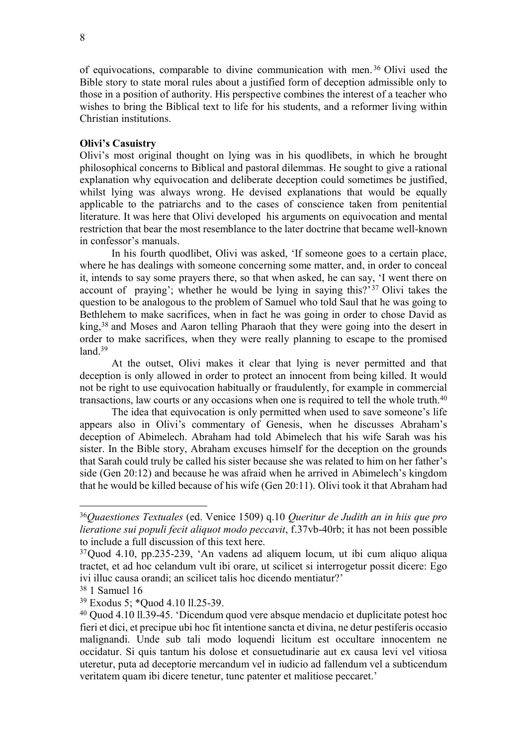of equivocations, comparable to divine communication with men. <sup>36</sup> Olivi used the Bible story to state moral rules about a justified form of deception admissible only to those in a position of authority. His perspective combines the interest of a teacher who wishes to bring the Biblical text to life for his students, and a reformer living within Christian institutions.

## **Olivi's Casuistry**

Olivi's most original thought on lying was in his quodlibets, in which he brought philosophical concerns to Biblical and pastoral dilemmas. He sought to give a rational explanation why equivocation and deliberate deception could sometimes be justified, whilst lying was always wrong. He devised explanations that would be equally applicable to the patriarchs and to the cases of conscience taken from penitential literature. It was here that Olivi developed his arguments on equivocation and mental restriction that bear the most resemblance to the later doctrine that became well-known in confessor's manuals.

In his fourth quodlibet, Olivi was asked, 'If someone goes to a certain place, where he has dealings with someone concerning some matter, and, in order to conceal it, intends to say some prayers there, so that when asked, he can say, 'I went there on account of praying'; whether he would be lying in saying this?'<sup>37</sup> Olivi takes the question to be analogous to the problem of Samuel who told Saul that he was going to Bethlehem to make sacrifices, when in fact he was going in order to chose David as king,<sup>38</sup> and Moses and Aaron telling Pharaoh that they were going into the desert in order to make sacrifices, when they were really planning to escape to the promised  $land.<sup>39</sup>$ 

At the outset, Olivi makes it clear that lying is never permitted and that deception is only allowed in order to protect an innocent from being killed. It would not be right to use equivocation habitually or fraudulently, for example in commercial transactions, law courts or any occasions when one is required to tell the whole truth.<sup>40</sup>

The idea that equivocation is only permitted when used to save someone's life appears also in Olivi's commentary of Genesis, when he discusses Abraham's deception of Abimelech. Abraham had told Abimelech that his wife Sarah was his sister. In the Bible story, Abraham excuses himself for the deception on the grounds that Sarah could truly be called his sister because she was related to him on her father's side (Gen 20:12) and because he was afraid when he arrived in Abimelech's kingdom that he would be killed because of his wife (Gen 20:11). Olivi took it that Abraham had

<sup>36</sup>*Quaestiones Textuales* (ed. Venice 1509) q.10 *Queritur de Judith an in hiis que pro lieratione sui populi fecit aliquot modo peccavit*, f.37vb-40rb; it has not been possible to include a full discussion of this text here.

<sup>37</sup>Quod 4.10, pp.235-239, 'An vadens ad aliquem locum, ut ibi cum aliquo aliqua tractet, et ad hoc celandum vult ibi orare, ut scilicet si interrogetur possit dicere: Ego ivi illuc causa orandi; an scilicet talis hoc dicendo mentiatur?'

<sup>38</sup> 1 Samuel 16

<sup>39</sup> Exodus 5; \*Quod 4.10 ll.25-39.

<sup>40</sup> Quod 4.10 ll.39-45. 'Dicendum quod vere absque mendacio et duplicitate potest hoc fieri et dici, et precipue ubi hoc fit intentione sancta et divina, ne detur pestiferis occasio malignandi. Unde sub tali modo loquendi licitum est occultare innocentem ne occidatur. Si quis tantum his dolose et consuetudinarie aut ex causa levi vel vitiosa uteretur, puta ad deceptorie mercandum vel in iudicio ad fallendum vel a subticendum veritatem quam ibi dicere tenetur, tunc patenter et malitiose peccaret.'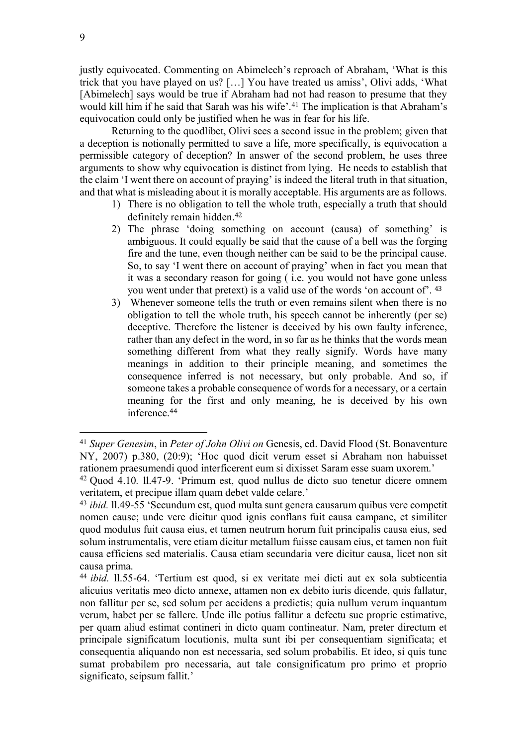justly equivocated. Commenting on Abimelech's reproach of Abraham, 'What is this trick that you have played on us? […] You have treated us amiss', Olivi adds, 'What [Abimelech] says would be true if Abraham had not had reason to presume that they would kill him if he said that Sarah was his wife'.<sup>41</sup> The implication is that Abraham's equivocation could only be justified when he was in fear for his life.

Returning to the quodlibet, Olivi sees a second issue in the problem; given that a deception is notionally permitted to save a life, more specifically, is equivocation a permissible category of deception? In answer of the second problem, he uses three arguments to show why equivocation is distinct from lying. He needs to establish that the claim 'I went there on account of praying' is indeed the literal truth in that situation, and that what is misleading about it is morally acceptable. His arguments are as follows.

- 1) There is no obligation to tell the whole truth, especially a truth that should definitely remain hidden. 42
- 2) The phrase 'doing something on account (causa) of something' is ambiguous. It could equally be said that the cause of a bell was the forging fire and the tune, even though neither can be said to be the principal cause. So, to say 'I went there on account of praying' when in fact you mean that it was a secondary reason for going ( i.e. you would not have gone unless you went under that pretext) is a valid use of the words 'on account of'. <sup>43</sup>
- 3) Whenever someone tells the truth or even remains silent when there is no obligation to tell the whole truth, his speech cannot be inherently (per se) deceptive. Therefore the listener is deceived by his own faulty inference, rather than any defect in the word, in so far as he thinks that the words mean something different from what they really signify. Words have many meanings in addition to their principle meaning, and sometimes the consequence inferred is not necessary, but only probable. And so, if someone takes a probable consequence of words for a necessary, or a certain meaning for the first and only meaning, he is deceived by his own inference.<sup>44</sup>

<sup>&</sup>lt;sup>41</sup> Super Genesim, in Peter of John Olivi on Genesis, ed. David Flood (St. Bonaventure NY, 2007) p.380, (20:9); 'Hoc quod dicit verum esset si Abraham non habuisset rationem praesumendi quod interficerent eum si dixisset Saram esse suam uxorem.'

<sup>42</sup> Quod 4.10*.* ll.47-9. 'Primum est, quod nullus de dicto suo tenetur dicere omnem veritatem, et precipue illam quam debet valde celare.'

<sup>43</sup> *ibid.* ll.49-55 'Secundum est, quod multa sunt genera causarum quibus vere competit nomen cause; unde vere dicitur quod ignis conflans fuit causa campane, et similiter quod modulus fuit causa eius, et tamen neutrum horum fuit principalis causa eius, sed solum instrumentalis, vere etiam dicitur metallum fuisse causam eius, et tamen non fuit causa efficiens sed materialis. Causa etiam secundaria vere dicitur causa, licet non sit causa prima.

<sup>44</sup> *ibid.* ll.55-64. 'Tertium est quod, si ex veritate mei dicti aut ex sola subticentia alicuius veritatis meo dicto annexe, attamen non ex debito iuris dicende, quis fallatur, non fallitur per se, sed solum per accidens a predictis; quia nullum verum inquantum verum, habet per se fallere. Unde ille potius fallitur a defectu sue proprie estimative, per quam aliud estimat contineri in dicto quam contineatur. Nam, preter directum et principale significatum locutionis, multa sunt ibi per consequentiam significata; et consequentia aliquando non est necessaria, sed solum probabilis. Et ideo, si quis tunc sumat probabilem pro necessaria, aut tale consignificatum pro primo et proprio significato, seipsum fallit.'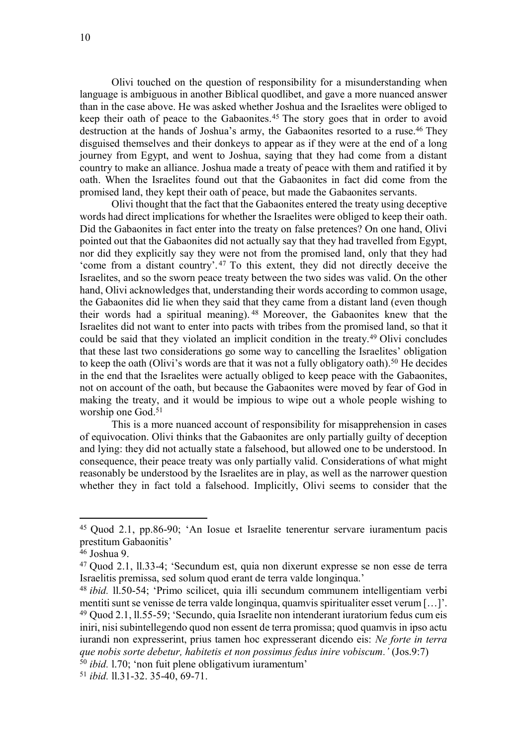Olivi touched on the question of responsibility for a misunderstanding when language is ambiguous in another Biblical quodlibet, and gave a more nuanced answer than in the case above. He was asked whether Joshua and the Israelites were obliged to keep their oath of peace to the Gabaonites.<sup>45</sup> The story goes that in order to avoid destruction at the hands of Joshua's army, the Gabaonites resorted to a ruse.<sup>46</sup> They disguised themselves and their donkeys to appear as if they were at the end of a long journey from Egypt, and went to Joshua, saying that they had come from a distant country to make an alliance. Joshua made a treaty of peace with them and ratified it by oath. When the Israelites found out that the Gabaonites in fact did come from the promised land, they kept their oath of peace, but made the Gabaonites servants.

Olivi thought that the fact that the Gabaonites entered the treaty using deceptive words had direct implications for whether the Israelites were obliged to keep their oath. Did the Gabaonites in fact enter into the treaty on false pretences? On one hand, Olivi pointed out that the Gabaonites did not actually say that they had travelled from Egypt, nor did they explicitly say they were not from the promised land, only that they had 'come from a distant country'. <sup>47</sup> To this extent, they did not directly deceive the Israelites, and so the sworn peace treaty between the two sides was valid. On the other hand, Olivi acknowledges that, understanding their words according to common usage, the Gabaonites did lie when they said that they came from a distant land (even though their words had a spiritual meaning). <sup>48</sup> Moreover, the Gabaonites knew that the Israelites did not want to enter into pacts with tribes from the promised land, so that it could be said that they violated an implicit condition in the treaty.<sup>49</sup> Olivi concludes that these last two considerations go some way to cancelling the Israelites' obligation to keep the oath (Olivi's words are that it was not a fully obligatory oath).<sup>50</sup> He decides in the end that the Israelites were actually obliged to keep peace with the Gabaonites, not on account of the oath, but because the Gabaonites were moved by fear of God in making the treaty, and it would be impious to wipe out a whole people wishing to worship one God. 51

This is a more nuanced account of responsibility for misapprehension in cases of equivocation. Olivi thinks that the Gabaonites are only partially guilty of deception and lying: they did not actually state a falsehood, but allowed one to be understood. In consequence, their peace treaty was only partially valid. Considerations of what might reasonably be understood by the Israelites are in play, as well as the narrower question whether they in fact told a falsehood. Implicitly, Olivi seems to consider that the

<sup>45</sup> Quod 2.1, pp.86-90; 'An Iosue et Israelite tenerentur servare iuramentum pacis prestitum Gabaonitis'

<sup>46</sup> Joshua 9.

<sup>47</sup> Quod 2.1, ll.33-4; 'Secundum est, quia non dixerunt expresse se non esse de terra Israelitis premissa, sed solum quod erant de terra valde longinqua.'

<sup>48</sup> *ibid.* ll.50-54; 'Primo scilicet, quia illi secundum communem intelligentiam verbi mentiti sunt se venisse de terra valde longinqua, quamvis spiritualiter esset verum […]'. <sup>49</sup> Quod 2.1, ll.55-59; 'Secundo, quia Israelite non intenderant iuratorium fedus cum eis iniri, nisi subintellegendo quod non essent de terra promissa; quod quamvis in ipso actu iurandi non expresserint, prius tamen hoc expresserant dicendo eis: *Ne forte in terra que nobis sorte debetur, habitetis et non possimus fedus inire vobiscum.'* (Jos.9:7) <sup>50</sup> *ibid.* l.70; 'non fuit plene obligativum iuramentum'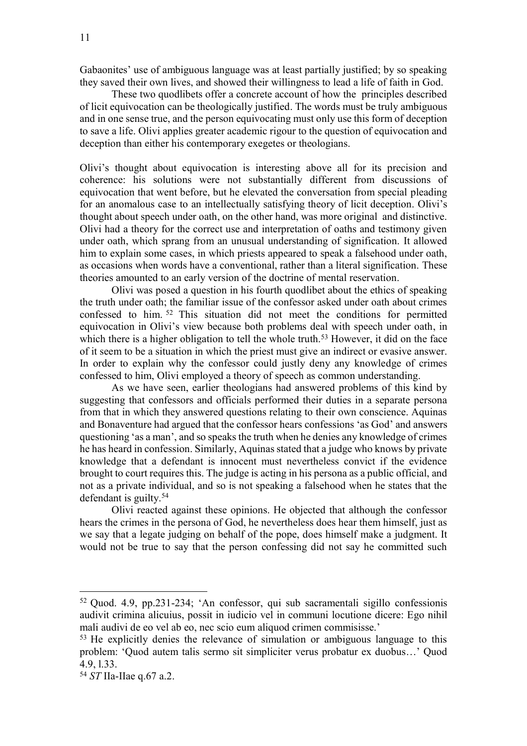Gabaonites' use of ambiguous language was at least partially justified; by so speaking they saved their own lives, and showed their willingness to lead a life of faith in God.

These two quodlibets offer a concrete account of how the principles described of licit equivocation can be theologically justified. The words must be truly ambiguous and in one sense true, and the person equivocating must only use this form of deception to save a life. Olivi applies greater academic rigour to the question of equivocation and deception than either his contemporary exegetes or theologians.

Olivi's thought about equivocation is interesting above all for its precision and coherence: his solutions were not substantially different from discussions of equivocation that went before, but he elevated the conversation from special pleading for an anomalous case to an intellectually satisfying theory of licit deception. Olivi's thought about speech under oath, on the other hand, was more original and distinctive. Olivi had a theory for the correct use and interpretation of oaths and testimony given under oath, which sprang from an unusual understanding of signification. It allowed him to explain some cases, in which priests appeared to speak a falsehood under oath, as occasions when words have a conventional, rather than a literal signification. These theories amounted to an early version of the doctrine of mental reservation.

Olivi was posed a question in his fourth quodlibet about the ethics of speaking the truth under oath; the familiar issue of the confessor asked under oath about crimes confessed to him. <sup>52</sup> This situation did not meet the conditions for permitted equivocation in Olivi's view because both problems deal with speech under oath, in which there is a higher obligation to tell the whole truth.<sup>53</sup> However, it did on the face of it seem to be a situation in which the priest must give an indirect or evasive answer. In order to explain why the confessor could justly deny any knowledge of crimes confessed to him, Olivi employed a theory of speech as common understanding.

As we have seen, earlier theologians had answered problems of this kind by suggesting that confessors and officials performed their duties in a separate persona from that in which they answered questions relating to their own conscience. Aquinas and Bonaventure had argued that the confessor hears confessions 'as God' and answers questioning 'as a man', and so speaks the truth when he denies any knowledge of crimes he has heard in confession. Similarly, Aquinas stated that a judge who knows by private knowledge that a defendant is innocent must nevertheless convict if the evidence brought to court requires this. The judge is acting in his persona as a public official, and not as a private individual, and so is not speaking a falsehood when he states that the defendant is guilty.<sup>54</sup>

Olivi reacted against these opinions. He objected that although the confessor hears the crimes in the persona of God, he nevertheless does hear them himself, just as we say that a legate judging on behalf of the pope, does himself make a judgment. It would not be true to say that the person confessing did not say he committed such

<sup>52</sup> Quod. 4.9, pp.231-234; 'An confessor, qui sub sacramentali sigillo confessionis audivit crimina alicuius, possit in iudicio vel in communi locutione dicere: Ego nihil mali audivi de eo vel ab eo, nec scio eum aliquod crimen commisisse.'

<sup>53</sup> He explicitly denies the relevance of simulation or ambiguous language to this problem: 'Quod autem talis sermo sit simpliciter verus probatur ex duobus…' Quod 4.9, l.33.

<sup>54</sup> *ST* IIa-IIae q.67 a.2.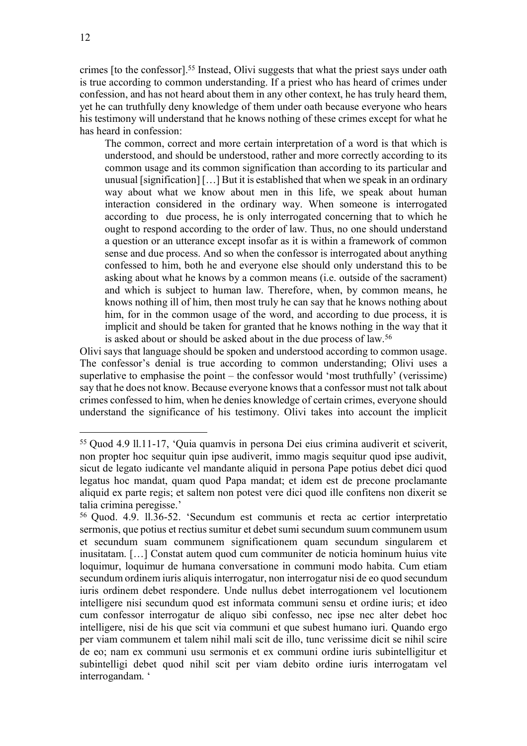crimes [to the confessor].<sup>55</sup> Instead, Olivi suggests that what the priest says under oath is true according to common understanding. If a priest who has heard of crimes under confession, and has not heard about them in any other context, he has truly heard them, yet he can truthfully deny knowledge of them under oath because everyone who hears his testimony will understand that he knows nothing of these crimes except for what he has heard in confession:

The common, correct and more certain interpretation of a word is that which is understood, and should be understood, rather and more correctly according to its common usage and its common signification than according to its particular and unusual [signification] […] But it is established that when we speak in an ordinary way about what we know about men in this life, we speak about human interaction considered in the ordinary way. When someone is interrogated according to due process, he is only interrogated concerning that to which he ought to respond according to the order of law. Thus, no one should understand a question or an utterance except insofar as it is within a framework of common sense and due process. And so when the confessor is interrogated about anything confessed to him, both he and everyone else should only understand this to be asking about what he knows by a common means (i.e. outside of the sacrament) and which is subject to human law. Therefore, when, by common means, he knows nothing ill of him, then most truly he can say that he knows nothing about him, for in the common usage of the word, and according to due process, it is implicit and should be taken for granted that he knows nothing in the way that it is asked about or should be asked about in the due process of law.<sup>56</sup>

Olivi says that language should be spoken and understood according to common usage. The confessor's denial is true according to common understanding; Olivi uses a superlative to emphasise the point – the confessor would 'most truthfully' (verissime) say that he does not know. Because everyone knows that a confessor must not talk about crimes confessed to him, when he denies knowledge of certain crimes, everyone should understand the significance of his testimony. Olivi takes into account the implicit

<sup>55</sup> Quod 4.9 ll.11-17, 'Quia quamvis in persona Dei eius crimina audiverit et sciverit, non propter hoc sequitur quin ipse audiverit, immo magis sequitur quod ipse audivit, sicut de legato iudicante vel mandante aliquid in persona Pape potius debet dici quod legatus hoc mandat, quam quod Papa mandat; et idem est de precone proclamante aliquid ex parte regis; et saltem non potest vere dici quod ille confitens non dixerit se talia crimina peregisse.'

<sup>56</sup> Quod. 4.9. ll.36-52. 'Secundum est communis et recta ac certior interpretatio sermonis, que potius et rectius sumitur et debet sumi secundum suum communem usum et secundum suam communem significationem quam secundum singularem et inusitatam. […] Constat autem quod cum communiter de noticia hominum huius vite loquimur, loquimur de humana conversatione in communi modo habita. Cum etiam secundum ordinem iuris aliquis interrogatur, non interrogatur nisi de eo quod secundum iuris ordinem debet respondere. Unde nullus debet interrogationem vel locutionem intelligere nisi secundum quod est informata communi sensu et ordine iuris; et ideo cum confessor interrogatur de aliquo sibi confesso, nec ipse nec alter debet hoc intelligere, nisi de his que scit via communi et que subest humano iuri. Quando ergo per viam communem et talem nihil mali scit de illo, tunc verissime dicit se nihil scire de eo; nam ex communi usu sermonis et ex communi ordine iuris subintelligitur et subintelligi debet quod nihil scit per viam debito ordine iuris interrogatam vel interrogandam. '